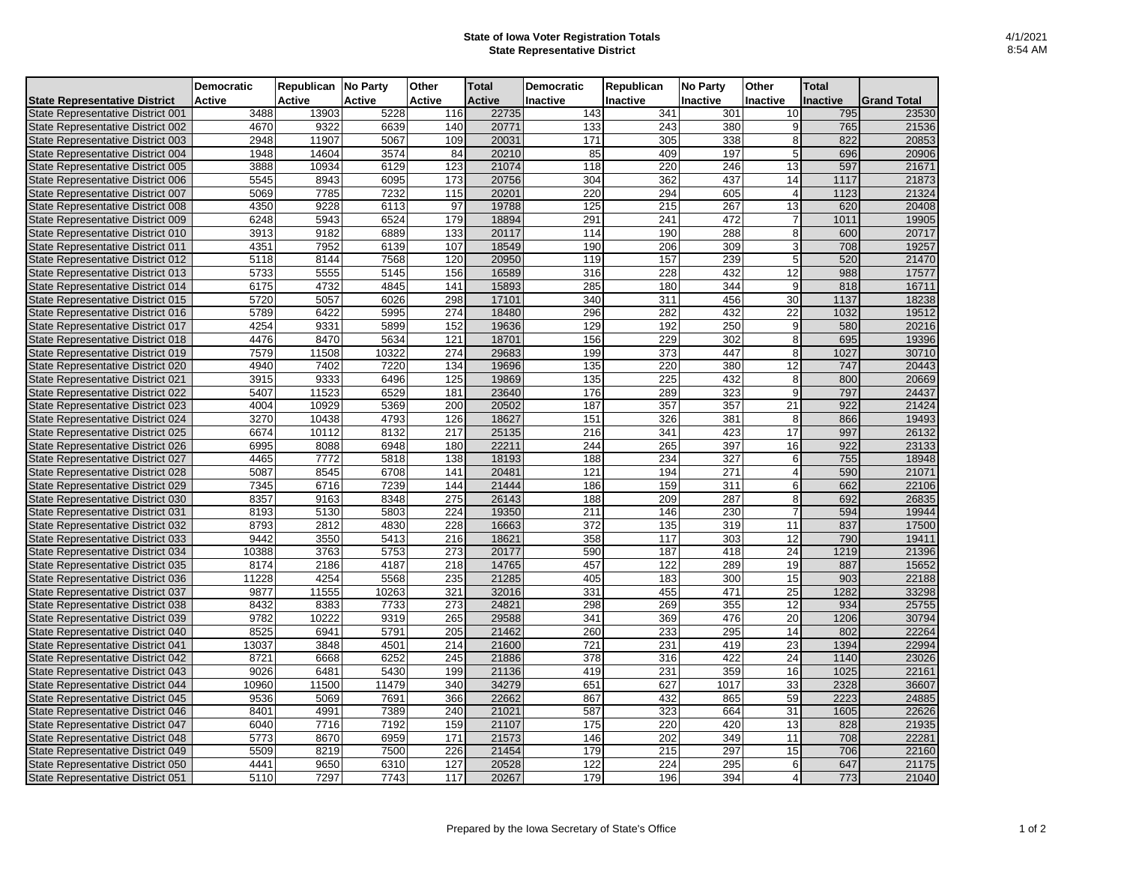## **State of Iowa Voter Registration Totals State Representative District**

|                                          | Democratic    | Republican No Party |               | Other  | <b>Total</b>  | <b>Democratic</b> | Republican | <b>No Party</b>  | Other           | <b>Total</b>    |                    |
|------------------------------------------|---------------|---------------------|---------------|--------|---------------|-------------------|------------|------------------|-----------------|-----------------|--------------------|
| <b>State Representative District</b>     | <b>Active</b> | Active              | <b>Active</b> | Active | <b>Active</b> | Inactive          | Inactive   | <b>Inactive</b>  | <b>Inactive</b> | <b>Inactive</b> | <b>Grand Total</b> |
| <b>State Representative District 001</b> | 3488          | 13903               | 5228          | 116    | 22735         | 143               | 341        | 301              | 10              | 795             | 23530              |
| <b>State Representative District 002</b> | 4670          | 9322                | 6639          | 140    | 20771         | 133               | 243        | 380              | 9               | 765             | 21536              |
| State Representative District 003        | 2948          | 11907               | 5067          | 109    | 20031         | 171               | 305        | 338              | 8               | 822             | 20853              |
| State Representative District 004        | 1948          | 14604               | 3574          | 84     | 20210         | 85                | 409        | 197              | 5               | 696             | 20906              |
| State Representative District 005        | 3888          | 10934               | 6129          | 123    | 21074         | 118               | 220        | 246              | 13              | 597             | 21671              |
| State Representative District 006        | 5545          | 8943                | 6095          | 173    | 20756         | 304               | 362        | 437              | 14              | 1117            | 21873              |
| State Representative District 007        | 5069          | 7785                | 7232          | 115    | 20201         | 220               | 294        | 605              | $\overline{4}$  | 1123            | 21324              |
| <b>State Representative District 008</b> | 4350          | 9228                | 6113          | 97     | 19788         | 125               | 215        | 267              | 13              | 620             | 20408              |
| State Representative District 009        | 6248          | 5943                | 6524          | 179    | 18894         | 291               | 241        | 472              | 7               | 1011            | 19905              |
| State Representative District 010        | 3913          | 9182                | 6889          | 133    | 20117         | 114               | 190        | 288              | 8               | 600             | 20717              |
| <b>State Representative District 011</b> | 4351          | 7952                | 6139          | 107    | 18549         | 190               | 206        | 309              | 3               | 708             | 19257              |
| <b>State Representative District 012</b> | 5118          | 8144                | 7568          | 120    | 20950         | 119               | 157        | 239              | 5               | 520             | 21470              |
| <b>State Representative District 013</b> | 5733          | 5555                | 5145          | 156    | 16589         | 316               | 228        | 432              | 12              | 988             | 17577              |
| State Representative District 014        | 6175          | 4732                | 4845          | 141    | 15893         | 285               | 180        | 344              | 9               | 818             | 16711              |
| State Representative District 015        | 5720          | 5057                | 6026          | 298    | 17101         | 340               | 311        | 456              | $\overline{30}$ | 1137            | 18238              |
| State Representative District 016        | 5789          | 6422                | 5995          | 274    | 18480         | 296               | 282        | 432              | 22              | 1032            | 19512              |
| <b>State Representative District 017</b> | 4254          | 9331                | 5899          | 152    | 19636         | 129               | 192        | 250              | 9               | 580             | 20216              |
| <b>State Representative District 018</b> | 4476          | 8470                | 5634          | 121    | 18701         | 156               | 229        | 302              | 8               | 695             | 19396              |
| State Representative District 019        | 7579          | 11508               | 10322         | 274    | 29683         | 199               | 373        | 447              | 8               | 1027            | 30710              |
| State Representative District 020        | 4940          | 7402                | 7220          | 134    | 19696         | 135               | 220        | 380              | 12              | 747             | 20443              |
| <b>State Representative District 021</b> | 3915          | 9333                | 6496          | 125    | 19869         | 135               | 225        | 432              | 8               | 800             | 20669              |
| <b>State Representative District 022</b> | 5407          | 11523               | 6529          | 181    | 23640         | 176               | 289        | 323              | 9               | 797             | 24437              |
| <b>State Representative District 023</b> | 4004          | 10929               | 5369          | 200    | 20502         | 187               | 357        | $\overline{357}$ | $\overline{21}$ | 922             | 21424              |
| <b>State Representative District 024</b> | 3270          | 10438               | 4793          | 126    | 18627         | 151               | 326        | 381              | 8               | 866             | 19493              |
| State Representative District 025        | 6674          | 10112               | 8132          | 217    | 25135         | 216               | 341        | 423              | 17              | 997             | 26132              |
| State Representative District 026        | 6995          | 8088                | 6948          | 180    | 22211         | 244               | 265        | 397              | 16              | 922             | 23133              |
| State Representative District 027        | 4465          | 7772                | 5818          | 138    | 18193         | 188               | 234        | 327              | 6               | 755             | 18948              |
| <b>State Representative District 028</b> | 5087          | 8545                | 6708          | 141    | 20481         | 121               | 194        | 271              | $\overline{a}$  | 590             | 21071              |
| State Representative District 029        | 7345          | 6716                | 7239          | 144    | 21444         | 186               | 159        | 311              | 6               | 662             | 22106              |
| State Representative District 030        | 8357          | 9163                | 8348          | 275    | 26143         | 188               | 209        | 287              | 8               | 692             | 26835              |
| <b>State Representative District 031</b> | 8193          | 5130                | 5803          | 224    | 19350         | 211               | 146        | 230              | 7               | 594             | 19944              |
| <b>State Representative District 032</b> | 8793          | 2812                | 4830          | 228    | 16663         | 372               | 135        | 319              | 11              | 837             | 17500              |
| State Representative District 033        | 9442          | 3550                | 5413          | 216    | 18621         | 358               | 117        | 303              | 12              | 790             | 19411              |
| <b>State Representative District 034</b> | 10388         | 3763                | 5753          | 273    | 20177         | 590               | 187        | 418              | 24              | 1219            | 21396              |
| State Representative District 035        | 8174          | 2186                | 4187          | 218    | 14765         | 457               | 122        | 289              | 19              | 887             | 15652              |
| State Representative District 036        | 11228         | 4254                | 5568          | 235    | 21285         | 405               | 183        | 300              | 15              | 903             | 22188              |
| State Representative District 037        | 9877          | 11555               | 10263         | 321    | 32016         | 331               | 455        | 471              | 25              | 1282            | 33298              |
| State Representative District 038        | 8432          | 8383                | 7733          | 273    | 24821         | 298               | 269        | 355              | 12              | 934             | 25755              |
| State Representative District 039        | 9782          | 10222               | 9319          | 265    | 29588         | 341               | 369        | 476              | 20              | 1206            | 30794              |
| State Representative District 040        | 8525          | 6941                | 5791          | 205    | 21462         | 260               | 233        | 295              | 14              | 802             | 22264              |
| <b>State Representative District 041</b> | 13037         | 3848                | 4501          | 214    | 21600         | 721               | 231        | 419              | 23              | 1394            | 22994              |
| <b>State Representative District 042</b> | 8721          | 6668                | 6252          | 245    | 21886         | 378               | 316        | 422              | 24              | 1140            | 23026              |
| State Representative District 043        | 9026          | 6481                | 5430          | 199    | 21136         | 419               | 231        | 359              | 16              | 1025            | 22161              |
| <b>State Representative District 044</b> | 10960         | 11500               | 11479         | 340    | 34279         | 651               | 627        | 1017             | 33              | 2328            | 36607              |
| State Representative District 045        | 9536          | 5069                | 7691          | 366    | 22662         | 867               | 432        | 865              | 59              | 2223            | 24885              |
| State Representative District 046        | 8401          | 4991                | 7389          | 240    | 21021         | 587               | 323        | 664              | 31              | 1605            | 22626              |
| <b>State Representative District 047</b> | 6040          | 7716                | 7192          | 159    | 21107         | 175               | 220        | 420              | 13              | 828             | 21935              |
| <b>State Representative District 048</b> | 5773          | 8670                | 6959          | 171    | 21573         | 146               | 202        | 349              | 11              | 708             | 22281              |
| State Representative District 049        | 5509          | 8219                | 7500          | 226    | 21454         | 179               | 215        | 297              | 15              | 706             | 22160              |
| State Representative District 050        | 4441          | 9650                | 6310          | 127    | 20528         | $\overline{122}$  | 224        | 295              | 6               | 647             | 21175              |
| State Representative District 051        | 5110          | 7297                | 7743          | 117    | 20267         | 179               | 196        | 394              | $\overline{4}$  | 773             | 21040              |